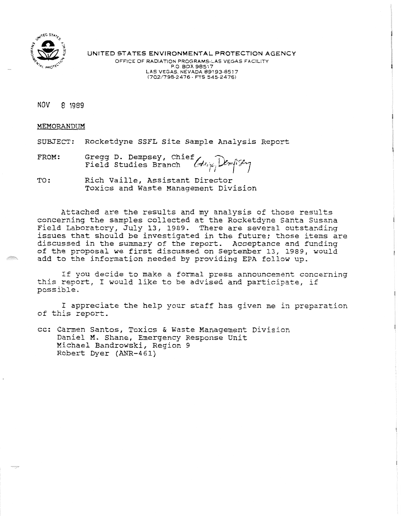

UNITED STATES ENVIRONMENTAL PROTECTION AGENCY

'.c **1"** *3* OFFICE OF RADIATION PROGRAMS-LAS VEGAS FACILITY **+)4c mo~tG** P.0 BOX <sup>98517</sup> P.O. BOX 98517<br>AS VEGAS. NEVADA 89193.9517 (5 VEGAS, NEVADA 89193-8517)<br>1021798-2476 - FTS 545-2476)

NOV. 8 1989

#### MEMORANDUM

SUBTECT: Rocketdyne SSFL Site Sample Analysis Report

rowser, showed he seed of the<br>ROM: Gregg D. Dempsey, C regg *D. D*empsey, Chie<br>ield Studies Branch

TO: Rich Vaille, Assistant Director Toxics and Waste Management Division

Attached are the results and my analysis of those results concerning the samples collected at the Rocketdyne Santa Susana Field Laboratory, July 13, 1989. There are several outstanding issues that should be investigated in the future; those items are ssues that should be investigated in the future; those fiems are<br>iscussed in the summary of the report. Acceptance and funding of the proposal we first discussed on September **13,** i989, would 1 the proposal we first discussed on september 13, 1989, W<br>dd to the information needed by providing EPA follow up.

If you decide to make a formal press announcement concerning this report, I would like to be advised and participate, if nis report<br>nis report

I appreciate the help your staff has given me in preparation of this report.

cc: Carmen Santos, Toxics & Waste Management Division Daniel M. Shane, Emergency Response Unit Michael Bandrowski, Region 9 Robert Dyer (ANR-461)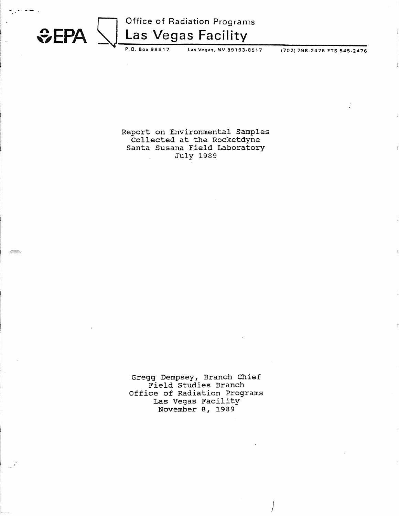

**Office of Radiation Programs** 

**P.O. Box 9851 7 Las Vegas. NV 891 93-8517 (702) 798-2476 FTS 545-2476** 

**Report on Environmental Samples Collected at the Rocketdyne Santa Susana Field Laboratory July 1989** 

**Gregg Dempsey, Branch Chief Field Studies Branch Office of Radiation Programs Las Vegas Facility ~ovember 8, 1989**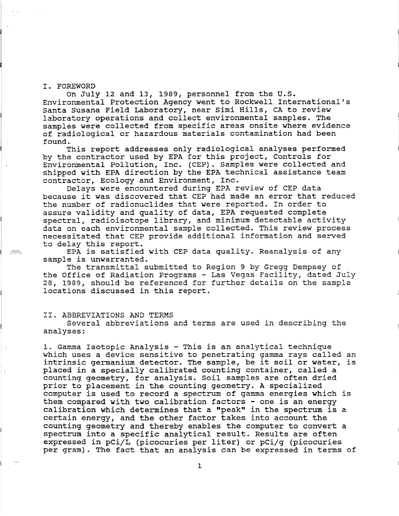#### I, FOREWORD

On July 12 and 13, 1989, personnel from the U.S. Environmental Protection Agency went to Rockwell International's Santa Susana Field Laboratory, near Simi Hills, CA to review laboratory operations and collect environmental samples. The samples were collected from specific areas onsite where evidence of radiological or hazardous materials contamination had been found .

This report addresses only radiological analyses performed by the contractor used by EPA for this project, Controls for Environmental Pollution, Inc. (CEP). Samples were collected and shipped with EPA direction by the EPA technical assistance team contractor, Ecology and Environment, Inc.

Delays were encountered during EPA review of CEP data because it was discovered that CEP had made an error that reduced the number of radionuclides that were reported. In order to assure validity and quality of data, EPA requested complete spectral, radioisotope library, and minimum detectable activity data on each environmental sample collected. This review process necessitated that CEP provide additional information and served to delay this report.

EPA is satisfied with CEP data quality. Reanalysis of any sample is unwarranted.

The transmittal submitted to Region 9 by Gregg Dempsey of the Office of Radiation Programs - Las Vegas Facility, dated July 28, **1989,** should be referenced for further details on the sample locations discussed in this report.

#### 11. ABBREVIATIONS AND TERMS

Several abbreviations and terms are used in describing the analyses :

**1.** Gamma Isotopic Analysis - This is an analytical technique which uses a device sensitive to penetrating gamma rays called an intrinsic germanium detector. The sample, be it soil or water, is placed in a specially calibrated counting container, called a counting geometry, for analysis. Soil samples are often dried prior to placement in the counting geometry. A specialized computer is used to record a spectrum of gamma energies which is them compared with two calibration factors - one is an energy calibration which determines that a "peak" in the spectrum is a certain energy, and the other factor takes into account the counting geometry and thereby enables the computer to convert a spectrum into a specific analytical result. Results are often expressed in pCi/L (picocuries per liter) or pCi/g (picocuries per gram). The fact that an analysis can be expressed in terms of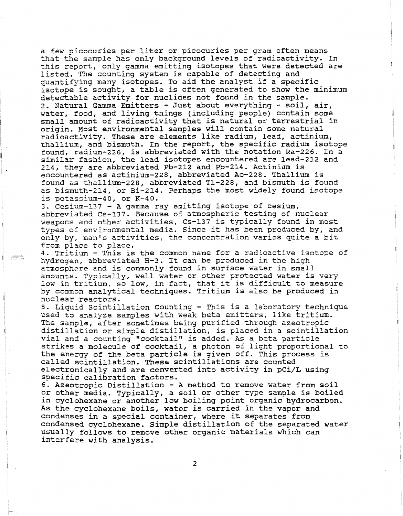a few picocuries per liter or picocuries per gram often means that the sample has only background levels of radioactivity. In this report, only gamma emitting isotopes that were detected are listed. The counting system is capable of detecting and quantifying many isotopes. To aid the analyst if a specific isotope is sought, a table is often generated to show the minimum detectable activity for nuclides not found in the sample. 2. Natural Gamma Emitters - Just about everything - soil, air, water, food, and living things (including people) contain some small amount of radioactivity that is natural or terrestrial in origin. Most environmental samples will contain some natural radioactivity. These are elements like radium, lead, actinium, thallium, and bismuth. In the report, the specific radium isotope found, radium-226, is abbreviated with the notation Ra-226. In a similar fashion, the lead isotopes encountered are lead-212 and 214, they are abbreviated Pb-212 and Pb-214. Actinium is encountered as actinium-228, abbreviated Ac-228. Thallium is found as thallium-228, abbreviated T1-228, and bismuth is found as bismuth-214, or Bi-214. Perhaps the most widely found isotope is potassium-40, or K-40.

3, Cesium-137 - A gamma ray emitting isotope of cesium, abbreviated Cs-137. Because of atmospheric testing of nuclear weapons and other activities, Cs-137 is typically found in most types of environmental media. Since it has been produced by, and only by, man's activities, the concentration varies quite a bit from place to place.

4. Tritium - This is the common name for a radioactive isotope of hydrogen, abbreviated H-3. It can be produced in the high atmosphere and is commonly found in surface water in small amounts. Typically, well water or other protected water is very low in tritium, so low, in fact, that it is difficult to measure by common analytical techniques. Tritium is also be produced in nuclear reactors.

5. Liquid Scintillation Counting - This is a laboratory technique used to analyze samples with weak beta emitters, like tritium. The sample, after sometimes being purified through azeotropic distillation or simple distillation, is placed in a scintillation vial and a counting "cocktail" is added. As a beta particle strikes a molecule of cocktail, a photon of light proportional to the energy of the beta particle is given off. This process is called scintillation. These scintillations are counted electronically and are converted into activity in pCi/L using specific calibration factors.

**<sup>61</sup>**Azeotropic Distillation - A method to remove water from soil or other media. Typically, a soil or other type sample is boiled in cyclohexane or another low boiling point organic hydrocarbon. As the cyclohexane boils, water is carried in the vapor and condenses in a special container, where it separates from condensed cyclohexane, Simple distillation of the separated water usually follows to remove other organic materials which can interfere with analysis.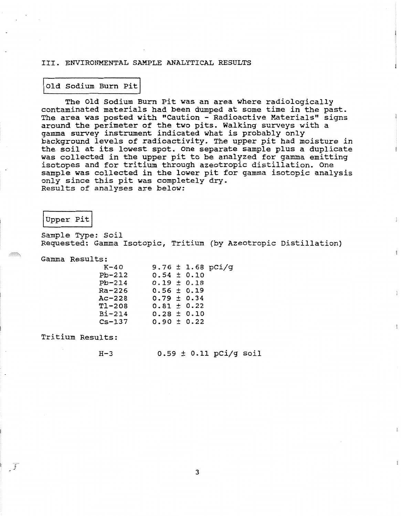### **111.** ENVIRONMENTAL SAMPLE ANALYTICAL RESULTS

# Old Sodium Burn Pit

The Old Sodium Burn Pit was an area where radiologically contaminated materials had been dumped at some time in the past. The area was posted with "Caution - Radioactive Materials" signs around the perimeter of the two pits. Walking surveys with a gamma surrey instrument indicated what is probably only background levels of radioactivity. The upper pit had moisture in the soil at its lowest spot. One separate sample plus a duplicate was collected in the upper pit to be analyzed for gamma emitting isotopes and for tritium through azeotropic distillation. One sample was collected in the lower pit for gamma isotopic analysis only since this pit was completely dry. Results of analyses are below:

# Upper Pit

Sample Type: Soil Requested: Gamma Isotopic, Tritium (by Azeotropic Distillation)

Gamma Results :

| $K-40$     |                 |  | 9.76 $\pm$ 1.68 pCi/g |
|------------|-----------------|--|-----------------------|
| $Pb-212$   | $0.54 \pm 0.10$ |  |                       |
| $Pb-214$   | $0.19 \pm 0.18$ |  |                       |
| Ra-226     | $0.56 \pm 0.19$ |  |                       |
| Ac-228     | $0.79 \pm 0.34$ |  |                       |
| T1-208     | $0.81 \pm 0.22$ |  |                       |
| $Bi-214$   | $0.28 \pm 0.10$ |  |                       |
| $Cs - 137$ | $0.90 \pm 0.22$ |  |                       |

Tritium Results:

 $\mathbf{F}$ 

 $H-3$  0.59  $\pm$  0.11 pCi/g soil

 $\overline{\mathbf{3}}$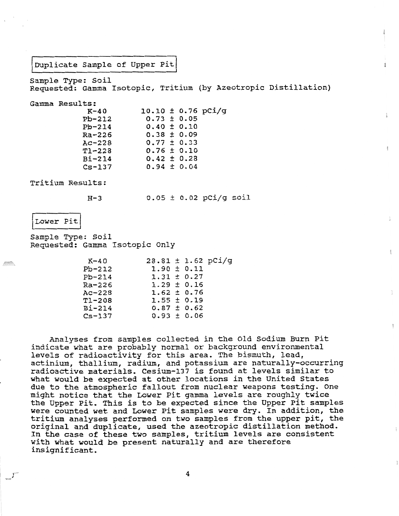# Duplicate Sample of Upper Pit

Sample Type: Soil Requested: Gamma Isotopic, Tritium (by Azeotropic Distillation)

Gamma Results:

| $K-40$                                          | $10.10 \pm 0.76$ pCl/g |  |  |  |  |
|-------------------------------------------------|------------------------|--|--|--|--|
| $Pb-212$                                        | $0.73 \pm 0.05$        |  |  |  |  |
| $Pb-214$                                        | $0.40 \pm 0.10$        |  |  |  |  |
| Ra-226                                          | $0.38 \pm 0.09$        |  |  |  |  |
| $Ac-228$                                        | $0.77 \pm 0.33$        |  |  |  |  |
| $T1-228$                                        | $0.76 \pm 0.10$        |  |  |  |  |
| $Bi-214$                                        | $0.42 \pm 0.28$        |  |  |  |  |
| $Cs - 137$                                      | $0.94 \pm 0.04$        |  |  |  |  |
| itium Results:                                  |                        |  |  |  |  |
| $H-3$                                           | $0.05 \pm 0.02$ pCi/g  |  |  |  |  |
|                                                 |                        |  |  |  |  |
| ower Pit                                        |                        |  |  |  |  |
| mple Type: Soil<br>quested: Gamma Isotopic Only |                        |  |  |  |  |

Tritium Results:

**0.05** *2* **0.02** pCi/g soil

 $\overline{\underline{a}}$ 

 $\frac{1}{2}$ 

ł.

 $\frac{\alpha}{4}$ 

Sample Type: Soil Requested: Gamma Isotopic Only

| $K-40$     | $28.81 \pm 1.62$ pCi/g |  |  |
|------------|------------------------|--|--|
| $Pb-212$   | $1.90 \pm 0.11$        |  |  |
| $Pb-214$   | $1.31 \pm 0.27$        |  |  |
| $Ra-226$   | $1.29 \pm 0.16$        |  |  |
| $Ac-228$   | $1.62 \pm 0.76$        |  |  |
| $T1 - 208$ | $1.55 \pm 0.19$        |  |  |
| $B1-214$   | $0.87 \pm 0.62$        |  |  |
| $Cs - 137$ | $0.93 \pm 0.06$        |  |  |
|            |                        |  |  |

Analyses from samples collected in the Old sodium Burn pit Analyses from samples collected in the Old Sodium Burn Pit indicate what are probably normal or background environmental levels of radioactivity for this area. The bismuth, lead, actinium, thallium, radium, and potassium are naturally-occurring radioactive materials. Cesium-137 is found at levels similar to what would be expected at other locations in the United States due to the atmospheric fallout from nuclear weapons testing. One might notice that the Lower Pit gamma levels are roughly twice the Upper Pit. This is to be expected since the Upper Pit samples were counted wet and Lower Pit samples were dry. In addition, the tritium analyses performed on two samples from the upper pit, the original and duplicate, used the azeotropic distillation method. In the case of these two samples, tritium levels are consistent with what would be present naturally and are therefore insignificant.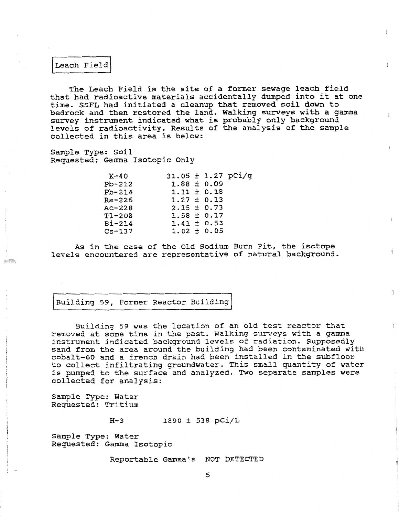Example of Field State The Leach Field is the The Leach Field is the site of a former sewage leach field The Leach rield is the site of a former sewage feach field<br>act had radioactive materials accidentally dumped into it at one hat had radioactive materials accidentally dumped into it at c<br>ime. SSFL had initiated a cleanup that removed soil down to time. SSFL had initiated a cleanup that removed soil down to bedrock and then restored the land. Walking surveys with a gamma edrock and then restored the iand. Waiking surveys with a gamm<br>instrument indicated what is probably only background irvey instrument indicated what is probably only background<br>suels of radioactivity. Results of the analysis of the sample levels of radioactivity. Results of the analysis of the sample collected in this area is below:

ä.

 $\vec{a}$ 

g.

 $\frac{1}{3}$ 

å.

Sample Type: Soil Requested: Gamma Isotopic Only

|  | $31.05 \pm 1.27$ pCi/g<br>$1.88 \pm 0.09$<br>$1.11 \pm 0.18$<br>$1.27 \pm 0.13$<br>$2.15 \pm 0.73$<br>$1.58 \pm 0.17$<br>$1.41 \pm 0.53$<br>$1.02 \pm 0.05$ |
|--|-------------------------------------------------------------------------------------------------------------------------------------------------------------|

As in the case of the Old Sodium Burn Pit, the isotope levels encountered are representative of natural background.

Building 59, Former Reactor Building

Building 59 was the location of an old test reactor that Building 59 Was the location of an old test reactor that<br>removed at some time in the past. Walking surveys with a gamma emoved at some time in the past. Waiking surveys with a gamma<br>estrument indicated background levels of radiation. Supposedly instrument indicated background levels of radiation. Supposedly<br>sand from the area around the building had been contaminated with cobalt-60 and a french drain had been installed in the subfloor obalt-60 and a french drain had been installed in the subficor<br>a collect infiltrating groundwater. This small quantity of water discrept inflittating groundwater. This small quantity of water conference the surface and analyzed. Two separate samples were is pumped to the surface and analyzed. Two separate samples were collected for analysis:

Sample Type: Water ampie Type: water<br>exuested: Tritium

> $H-3$  $1890 \pm 538$  pCi/L

Sample e: Water ample Type: Water<br>exuested: Gamma Isotopic

Reportable Gamma's **NOT** DETECTED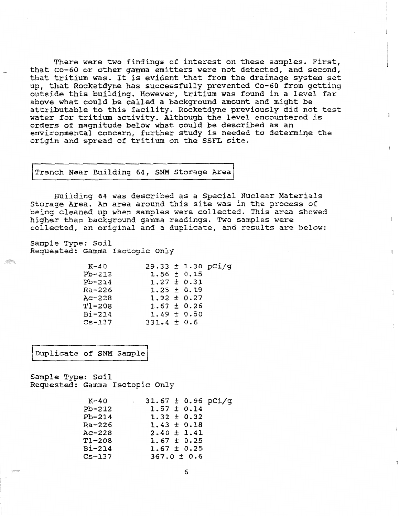There were two findings of interest on these samples. First, there were two findings of interest on these samples. First,<br>And Co-60 or other gamma emitters were not detected, and second. hat Co-60 or other gamma emitters were not detected, and second,<br>ast tritium was. It is evident that from the drainage system set nat tritium was. It is evident that from the drainage system set<br>. that Rocketdyne has suscessfully prevented Co-60 from getting o, that Rocketayne has successfully prevented Co-60 from getting<br>itside this building, However, tritium was found in a level far outside this building. However, tritium was found in a level far above what could be called a background amount and might be ove what could be called a background amount and might be<br>tributable to this facility. Rocketdyne previously did not test ctributable to this facility. Rocketdyne previously did not tes<br>hter for tritium activity, lithough the level encountered is water for tritium activity. Although the level encountered is orders of magnitude below what could be described as an environmental concern, further study is needed to determine the origin and spread of tritium on the SSFL site.

# Trench Near Building 64, SNM Storage Area

Building 64 was described as a special Nuclear laterials Building 64 was described as a Special Nuclear Materials<br>Estate Area around this site was in the process of Storage Area. An area around this site was in the process of being cleaned up when samples were collected. This area showed higher than background gamma readings. Two samples were collected, an original and a duplicate, and results are below:

 $_{\rm scatt}$ 

 $\mathbbmss{1}$ 

 $\frac{a}{4}$ 

Sample Type: Soil Requested: Gamma Isotopic Only

| $K-40$     |                 |  | $29.33 \pm 1.30$ pCi/g |
|------------|-----------------|--|------------------------|
| $Pb-212$   | $1.56 \pm 0.15$ |  |                        |
| $Pb-214$   | $1.27 \pm 0.31$ |  |                        |
| Ra-226     | $1.25 \pm 0.19$ |  |                        |
| $Ac-228$   | $1.92 \pm 0.27$ |  |                        |
| $T1 - 208$ | $1.67 \pm 0.26$ |  |                        |
| $Bi-214$   | $1.49 \pm 0.50$ |  |                        |
| $Cs - 137$ | $331.4 \pm 0.6$ |  |                        |

Duplicate of SNM Sample

Sample Type: Soil Requested: Gamma Isotopic Only

| K-40       | <b>Contract Contract</b> | $31.67 \pm 0.96$ pCi/g |                 |  |
|------------|--------------------------|------------------------|-----------------|--|
| $Pb-212$   |                          | $1.57 \pm 0.14$        |                 |  |
| $Pb-214$   |                          | $1.32 \pm 0.32$        |                 |  |
| $Ra-226$   |                          | $1.43 \pm 0.18$        |                 |  |
| $Ac-228$   |                          |                        | $2.40 \pm 1.41$ |  |
| $T1 - 208$ |                          |                        | $1.67 \pm 0.25$ |  |
| $Bi-214$   |                          |                        | $1.67 \pm 0.25$ |  |
| $Cs - 137$ |                          | $367.0 \pm 0.6$        |                 |  |